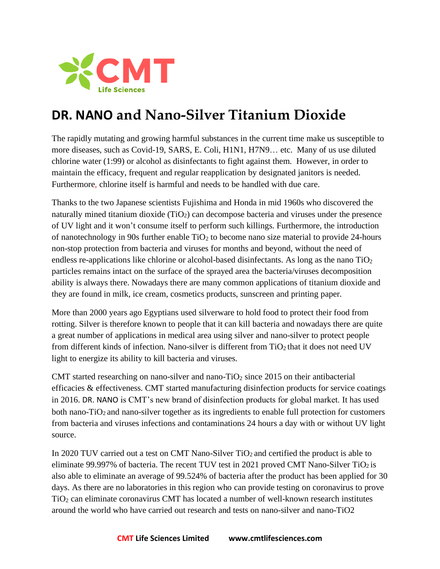

## **DR. NANO and Nano-Silver Titanium Dioxide**

The rapidly mutating and growing harmful substances in the current time make us susceptible to more diseases, such as Covid-19, SARS, E. Coli, H1N1, H7N9… etc. Many of us use diluted chlorine water (1:99) or alcohol as disinfectants to fight against them. However, in order to maintain the efficacy, frequent and regular reapplication by designated janitors is needed. Furthermore, chlorine itself is harmful and needs to be handled with due care.

Thanks to the two Japanese scientists Fujishima and Honda in mid 1960s who discovered the naturally mined titanium dioxide  $(TiO<sub>2</sub>)$  can decompose bacteria and viruses under the presence of UV light and it won't consume itself to perform such killings. Furthermore, the introduction of nanotechnology in 90s further enable  $TiO<sub>2</sub>$  to become nano size material to provide 24-hours non-stop protection from bacteria and viruses for months and beyond, without the need of endless re-applications like chlorine or alcohol-based disinfectants. As long as the nano  $TiO<sub>2</sub>$ particles remains intact on the surface of the sprayed area the bacteria/viruses decomposition ability is always there. Nowadays there are many common applications of titanium dioxide and they are found in milk, ice cream, cosmetics products, sunscreen and printing paper.

More than 2000 years ago Egyptians used silverware to hold food to protect their food from rotting. Silver is therefore known to people that it can kill bacteria and nowadays there are quite a great number of applications in medical area using silver and nano-silver to protect people from different kinds of infection. Nano-silver is different from TiO<sub>2</sub> that it does not need UV light to energize its ability to kill bacteria and viruses.

CMT started researching on nano-silver and nano-TiO<sub>2</sub> since 2015 on their antibacterial efficacies & effectiveness. CMT started manufacturing disinfection products for service coatings in 2016. DR. NANO is CMT's new brand of disinfection products for global market. It has used both nano-TiO<sub>2</sub> and nano-silver together as its ingredients to enable full protection for customers from bacteria and viruses infections and contaminations 24 hours a day with or without UV light source.

In 2020 TUV carried out a test on CMT Nano-Silver TiO<sub>2</sub> and certified the product is able to eliminate 99.997% of bacteria. The recent TUV test in 2021 proved CMT Nano-Silver  $TiO<sub>2</sub>$  is also able to eliminate an average of 99.524% of bacteria after the product has been applied for 30 days. As there are no laboratories in this region who can provide testing on coronavirus to prove TiO<sup>2</sup> can eliminate coronavirus CMT has located a number of well-known research institutes around the world who have carried out research and tests on nano-silver and nano-TiO2